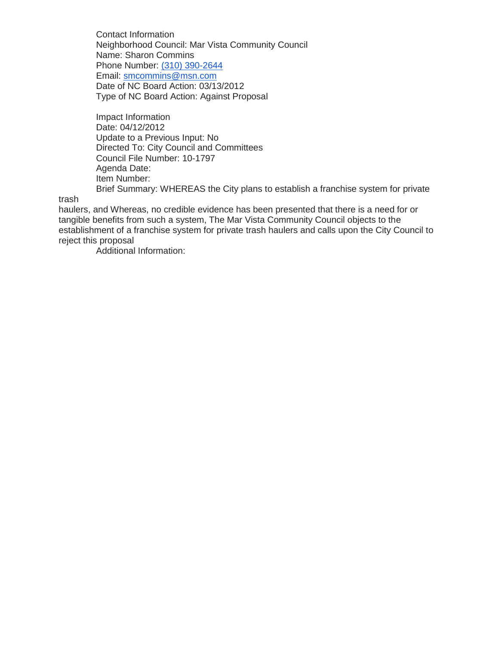Contact Information Neighborhood Council: Mar Vista Community Council Name: Sharon Commins Phone Number: [\(310\) 390-2644](tel:%28310%29%20390-2644) Email: [smcommins@msn.com](mailto:smcommins@msn.com) Date of NC Board Action: 03/13/2012 Type of NC Board Action: Against Proposal

Impact Information Date: 04/12/2012 Update to a Previous Input: No Directed To: City Council and Committees Council File Number: 10-1797 Agenda Date: Item Number: Brief Summary: WHEREAS the City plans to establish a franchise system for private

trash

haulers, and Whereas, no credible evidence has been presented that there is a need for or tangible benefits from such a system, The Mar Vista Community Council objects to the establishment of a franchise system for private trash haulers and calls upon the City Council to reject this proposal

Additional Information: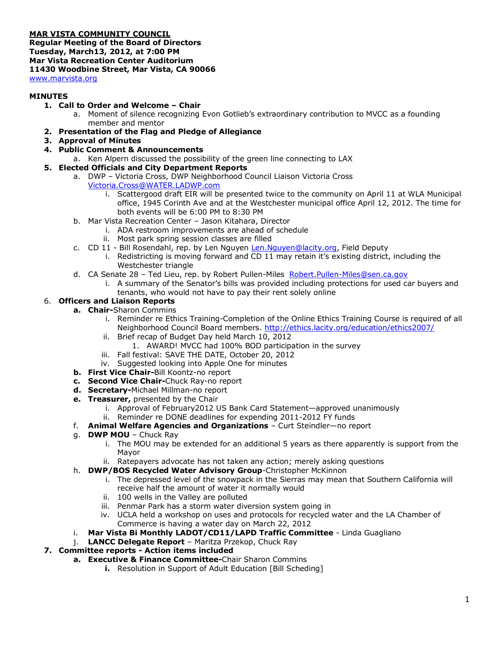# **MAR VISTA COMMUNITY COUNCIL**

**Regular Meeting of the Board of Directors Tuesday, March13, 2012, at 7:00 PM Mar Vista Recreation Center Auditorium 11430 Woodbine Street, Mar Vista, CA 90066** [www.marvista.org](http://www.marvista.org/)

## **MINUTES**

- **1. Call to Order and Welcome – Chair**
	- a. Moment of silence recognizing Evon Gotlieb's extraordinary contribution to MVCC as a founding member and mentor
- **2. Presentation of the Flag and Pledge of Allegiance**
- **3. Approval of Minutes**
- **4. Public Comment & Announcements**
- a. Ken Alpern discussed the possibility of the green line connecting to LAX
- **5. Elected Officials and City Department Reports**
	- a. DWP Victoria Cross, DWP Neighborhood Council Liaison Victoria Cross
		- [Victoria.Cross@WATER.LADWP.com](mailto:Victoria.Cross@WATER.LADWP.com) 
			- i. Scattergood draft EIR will be presented twice to the community on April 11 at WLA Municipal office, 1945 Corinth Ave and at the Westchester municipal office April 12, 2012. The time for both events will be 6:00 PM to 8:30 PM
	- b. Mar Vista Recreation Center Jason Kitahara, Director
		- i. ADA restroom improvements are ahead of schedule
		- ii. Most park spring session classes are filled
	- c. CD 11 Bill Rosendahl, rep. by Len Nguyen [Len.Nguyen@lacity.org,](mailto:Len.Nguyen@lacity.org) Field Deputy
		- i. Redistricting is moving forward and CD 11 may retain it's existing district, including the Westchester triangle
	- d. CA Senate 28 Ted Lieu, rep. by Robert Pullen-Miles [Robert.Pullen-Miles@sen.ca.gov](mailto:Robert.Pullen-Miles@sen.ca.gov)
		- i. A summary of the Senator's bills was provided including protections for used car buyers and tenants, who would not have to pay their rent solely online

### 6. **Officers and Liaison Reports**

- **a. Chair-**Sharon Commins
	- i. Reminder re Ethics Training-Completion of the Online Ethics Training Course is required of all Neighborhood Council Board members.<http://ethics.lacity.org/education/ethics2007/>
	- ii. Brief recap of Budget Day held March 10, 2012
		- 1. AWARD! MVCC had 100% BOD participation in the survey
	- iii. Fall festival: SAVE THE DATE, October 20, 2012
	- iv. Suggested looking into Apple One for minutes
- **b. First Vice Chair-**Bill Koontz-no report
- **c. Second Vice Chair-**Chuck Ray-no report
- **d. Secretary-**Michael Millman-no report
- **e. Treasurer,** presented by the Chair
	- i. Approval of February2012 US Bank Card Statement—approved unanimously
	- ii. Reminder re DONE deadlines for expending 2011-2012 FY funds
- f. **Animal Welfare Agencies and Organizations** Curt Steindler—no report
- g. **DWP MOU** Chuck Ray
	- i. The MOU may be extended for an additional 5 years as there apparently is support from the Mayor
	- ii. Ratepayers advocate has not taken any action; merely asking questions
- h. **DWP/BOS Recycled Water Advisory Group**-Christopher McKinnon
	- i. The depressed level of the snowpack in the Sierras may mean that Southern California will receive half the amount of water it normally would
	- ii. 100 wells in the Valley are polluted
	- iii. Penmar Park has a storm water diversion system going in
	- iv. UCLA held a workshop on uses and protocols for recycled water and the LA Chamber of Commerce is having a water day on March 22, 2012
- i. **Mar Vista Bi Monthly LADOT/CD11/LAPD Traffic Committee** Linda Guagliano
- j. **LANCC Delegate Report** Maritza Przekop, Chuck Ray

#### **7. Committee reports - Action items included**

- **a. Executive & Finance Committee-**Chair Sharon Commins
	- **i.** Resolution in Support of Adult Education [Bill Scheding]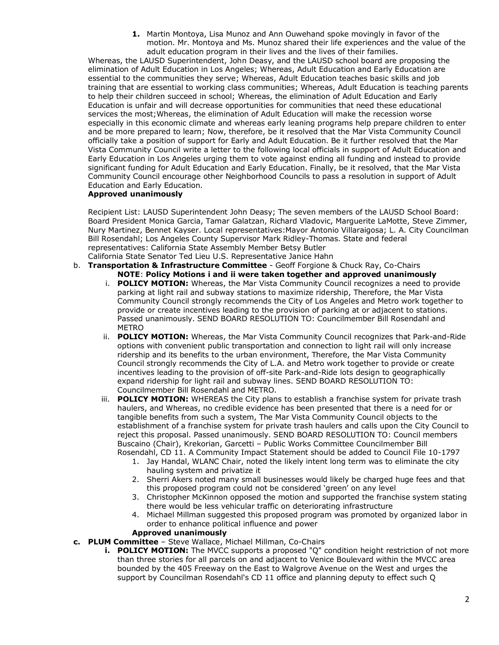**1.** Martin Montoya, Lisa Munoz and Ann Ouwehand spoke movingly in favor of the motion. Mr. Montoya and Ms. Munoz shared their life experiences and the value of the adult education program in their lives and the lives of their families.

Whereas, the LAUSD Superintendent, John Deasy, and the LAUSD school board are proposing the elimination of Adult Education in Los Angeles; Whereas, Adult Education and Early Education are essential to the communities they serve; Whereas, Adult Education teaches basic skills and job training that are essential to working class communities; Whereas, Adult Education is teaching parents to help their children succeed in school; Whereas, the elimination of Adult Education and Early Education is unfair and will decrease opportunities for communities that need these educational services the most;Whereas, the elimination of Adult Education will make the recession worse especially in this economic climate and whereas early leaning programs help prepare children to enter and be more prepared to learn; Now, therefore, be it resolved that the Mar Vista Community Council officially take a position of support for Early and Adult Education. Be it further resolved that the Mar Vista Community Council write a letter to the following local officials in support of Adult Education and Early Education in Los Angeles urging them to vote against ending all funding and instead to provide significant funding for Adult Education and Early Education. Finally, be it resolved, that the Mar Vista Community Council encourage other Neighborhood Councils to pass a resolution in support of Adult Education and Early Education.

### **Approved unanimously**

Recipient List: LAUSD Superintendent John Deasy; The seven members of the LAUSD School Board: Board President Monica Garcia, Tamar Galatzan, Richard Vladovic, Marguerite LaMotte, Steve Zimmer, Nury Martinez, Bennet Kayser. Local representatives:Mayor Antonio Villaraigosa; L. A. City Councilman Bill Rosendahl; Los Angeles County Supervisor Mark Ridley-Thomas. State and federal representatives: California State Assembly Member Betsy Butler California State Senator Ted Lieu U.S. Representative Janice Hahn

- 
- b. **Transportation & Infrastructure Committee** Geoff Forgione & Chuck Ray, Co-Chairs **NOTE**: **Policy Motions i and ii were taken together and approved unanimously**
	- i. **POLICY MOTION:** Whereas, the Mar Vista Community Council recognizes a need to provide parking at light rail and subway stations to maximize ridership, Therefore, the Mar Vista Community Council strongly recommends the City of Los Angeles and Metro work together to provide or create incentives leading to the provision of parking at or adjacent to stations. Passed unanimously. SEND BOARD RESOLUTION TO: Councilmember Bill Rosendahl and METRO
	- ii. **POLICY MOTION:** Whereas, the Mar Vista Community Council recognizes that Park-and-Ride options with convenient public transportation and connection to light rail will only increase ridership and its benefits to the urban environment, Therefore, the Mar Vista Community Council strongly recommends the City of L.A. and Metro work together to provide or create incentives leading to the provision of off-site Park-and-Ride lots design to geographically expand ridership for light rail and subway lines. SEND BOARD RESOLUTION TO: Councilmember Bill Rosendahl and METRO.
	- iii. **POLICY MOTION:** WHEREAS the City plans to establish a franchise system for private trash haulers, and Whereas, no credible evidence has been presented that there is a need for or tangible benefits from such a system, The Mar Vista Community Council objects to the establishment of a franchise system for private trash haulers and calls upon the City Council to reject this proposal. Passed unanimously. SEND BOARD RESOLUTION TO: Council members Buscaino (Chair), Krekorian, Garcetti – Public Works Committee Councilmember Bill Rosendahl, CD 11. A Community Impact Statement should be added to Council File 10-1797
		- 1. Jay Handal, WLANC Chair, noted the likely intent long term was to eliminate the city hauling system and privatize it
		- 2. Sherri Akers noted many small businesses would likely be charged huge fees and that this proposed program could not be considered 'green' on any level
		- 3. Christopher McKinnon opposed the motion and supported the franchise system stating there would be less vehicular traffic on deteriorating infrastructure
		- 4. Michael Millman suggested this proposed program was promoted by organized labor in order to enhance political influence and power

#### **Approved unanimously**

- **c. PLUM Committee** Steve Wallace, Michael Millman, Co-Chairs
	- **i. POLICY MOTION:** The MVCC supports a proposed "Q" condition height restriction of not more than three stories for all parcels on and adjacent to Venice Boulevard within the MVCC area bounded by the 405 Freeway on the East to Walgrove Avenue on the West and urges the support by Councilman Rosendahl's CD 11 office and planning deputy to effect such Q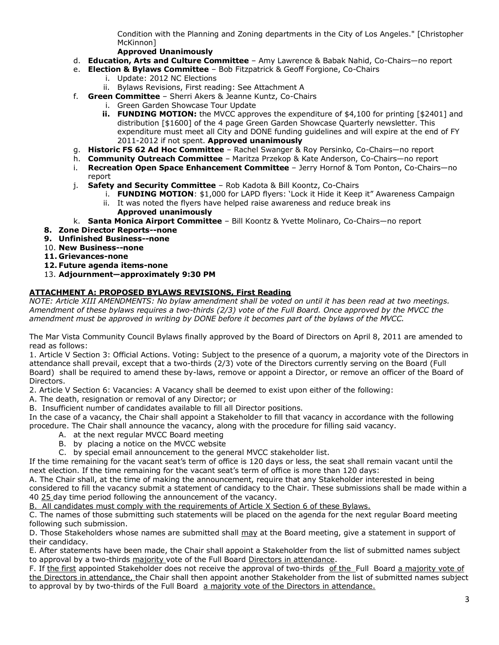Condition with the Planning and Zoning departments in the City of Los Angeles." [Christopher McKinnon]

## **Approved Unanimously**

- d. **Education, Arts and Culture Committee** Amy Lawrence & Babak Nahid, Co-Chairs—no report
- e. **Election & Bylaws Committee** Bob Fitzpatrick & Geoff Forgione, Co-Chairs
	- i. Update: 2012 NC Elections
	- ii. Bylaws Revisions, First reading: See Attachment A
- f. **Green Committee** Sherri Akers & Jeanne Kuntz, Co-Chairs
	- i. Green Garden Showcase Tour Update
	- **ii. FUNDING MOTION:** the MVCC approves the expenditure of \$4,100 for printing [\$2401] and distribution [\$1600] of the 4 page Green Garden Showcase Quarterly newsletter. This expenditure must meet all City and DONE funding guidelines and will expire at the end of FY 2011-2012 if not spent. **Approved unanimously**
- g. **Historic FS 62 Ad Hoc Committee** Rachel Swanger & Roy Persinko, Co-Chairs—no report
- h. **Community Outreach Committee** Maritza Przekop & Kate Anderson, Co-Chairs—no report
- i. **Recreation Open Space Enhancement Committee** Jerry Hornof & Tom Ponton, Co-Chairs—no report
- j. **Safety and Security Committee** Rob Kadota & Bill Koontz, Co-Chairs
	- i. **FUNDING MOTION**: \$1,000 for LAPD flyers: 'Lock it Hide it Keep it" Awareness Campaign ii. It was noted the flyers have helped raise awareness and reduce break ins
		- **Approved unanimously**
- k. **Santa Monica Airport Committee** Bill Koontz & Yvette Molinaro, Co-Chairs—no report
- **8. Zone Director Reports--none**
- **9. Unfinished Business--none**
- 10. **New Business--none**
- **11. Grievances-none**
- **12. Future agenda items-none**
- 13. **Adjournment—approximately 9:30 PM**

# **ATTACHMENT A: PROPOSED BYLAWS REVISIONS, First Reading**

*NOTE: Article XIII AMENDMENTS: No bylaw amendment shall be voted on until it has been read at two meetings. Amendment of these bylaws requires a two-thirds (2/3) vote of the Full Board. Once approved by the MVCC the amendment must be approved in writing by DONE before it becomes part of the bylaws of the MVCC.*

The Mar Vista Community Council Bylaws finally approved by the Board of Directors on April 8, 2011 are amended to read as follows:

1. Article V Section 3: Official Actions. Voting: Subject to the presence of a quorum, a majority vote of the Directors in attendance shall prevail, except that a two-thirds (2/3) vote of the Directors currently serving on the Board (Full Board) shall be required to amend these by-laws, remove or appoint a Director, or remove an officer of the Board of Directors.

2. Article V Section 6: Vacancies: A Vacancy shall be deemed to exist upon either of the following:

A. The death, resignation or removal of any Director; or

B. Insufficient number of candidates available to fill all Director positions.

In the case of a vacancy, the Chair shall appoint a Stakeholder to fill that vacancy in accordance with the following procedure. The Chair shall announce the vacancy, along with the procedure for filling said vacancy.

- A. at the next regular MVCC Board meeting
- B. by placing a notice on the MVCC website
- C. by special email announcement to the general MVCC stakeholder list.

If the time remaining for the vacant seat's term of office is 120 days or less, the seat shall remain vacant until the next election. If the time remaining for the vacant seat's term of office is more than 120 days:

A. The Chair shall, at the time of making the announcement, require that any Stakeholder interested in being considered to fill the vacancy submit a statement of candidacy to the Chair. These submissions shall be made within a 40 25 day time period following the announcement of the vacancy.

B. All candidates must comply with the requirements of Article X Section 6 of these Bylaws.

C. The names of those submitting such statements will be placed on the agenda for the next regular Board meeting following such submission.

D. Those Stakeholders whose names are submitted shall may at the Board meeting, give a statement in support of their candidacy.

E. After statements have been made, the Chair shall appoint a Stakeholder from the list of submitted names subject to approval by a two-thirds majority vote of the Full Board Directors in attendance.

F. If the first appointed Stakeholder does not receive the approval of two-thirds of the Full Board a majority vote of the Directors in attendance, the Chair shall then appoint another Stakeholder from the list of submitted names subject to approval by by two-thirds of the Full Board a majority vote of the Directors in attendance.